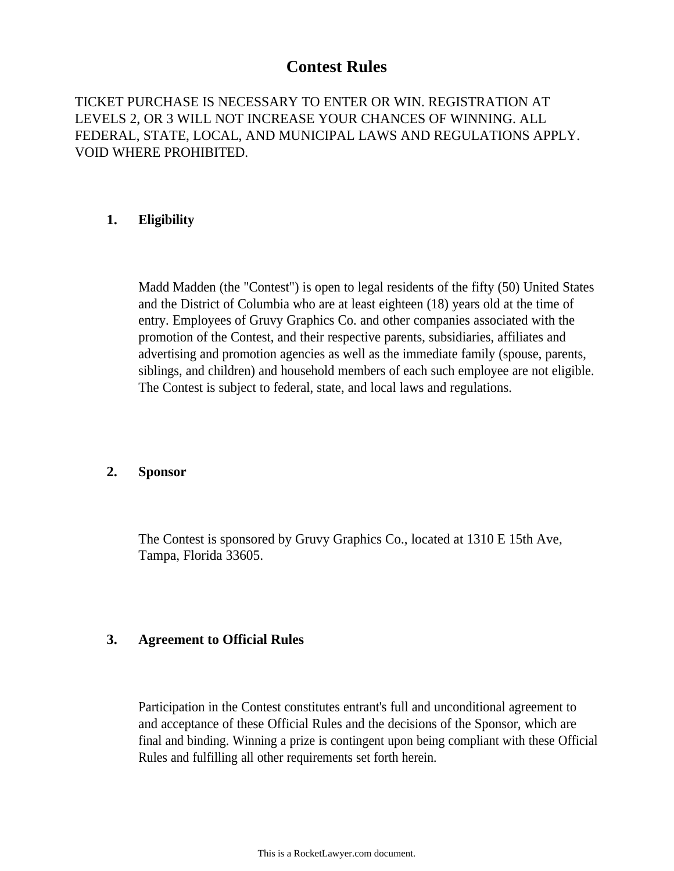## **Contest Rules**

TICKET PURCHASE IS NECESSARY TO ENTER OR WIN. REGISTRATION AT LEVELS 2, OR 3 WILL NOT INCREASE YOUR CHANCES OF WINNING. ALL FEDERAL, STATE, LOCAL, AND MUNICIPAL LAWS AND REGULATIONS APPLY. VOID WHERE PROHIBITED.

## **1. Eligibility**

Madd Madden (the "Contest") is open to legal residents of the fifty (50) United States and the District of Columbia who are at least eighteen (18) years old at the time of entry. Employees of Gruvy Graphics Co. and other companies associated with the promotion of the Contest, and their respective parents, subsidiaries, affiliates and advertising and promotion agencies as well as the immediate family (spouse, parents, siblings, and children) and household members of each such employee are not eligible. The Contest is subject to federal, state, and local laws and regulations.

## **2. Sponsor**

The Contest is sponsored by Gruvy Graphics Co., located at 1310 E 15th Ave, Tampa, Florida 33605.

## **3. Agreement to Official Rules**

Participation in the Contest constitutes entrant's full and unconditional agreement to and acceptance of these Official Rules and the decisions of the Sponsor, which are final and binding. Winning a prize is contingent upon being compliant with these Official Rules and fulfilling all other requirements set forth herein.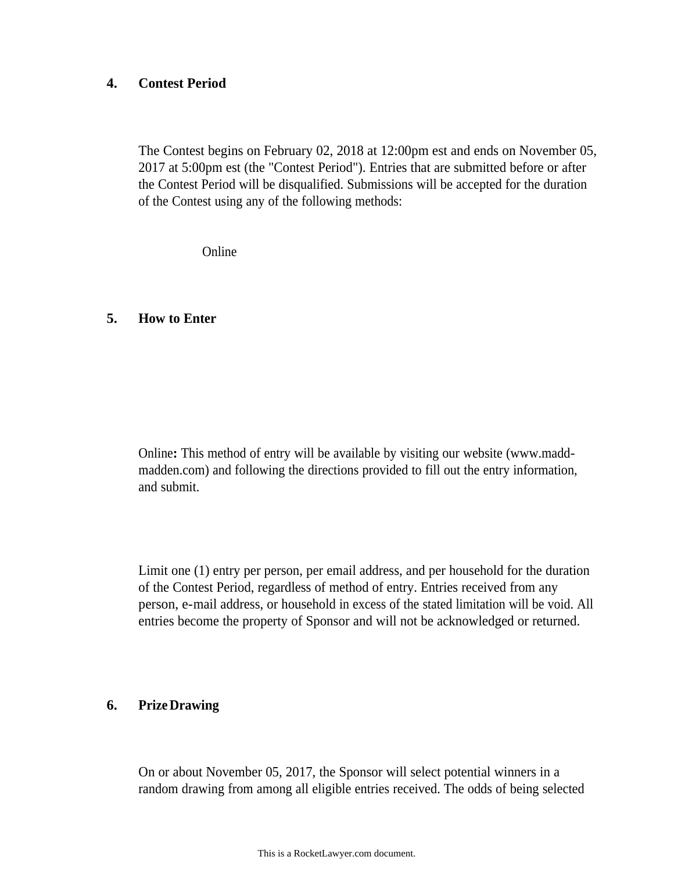## **4. Contest Period**

The Contest begins on February 02, 2018 at 12:00pm est and ends on November 05, 2017 at 5:00pm est (the "Contest Period"). Entries that are submitted before or after the Contest Period will be disqualified. Submissions will be accepted for the duration of the Contest using any of the following methods:

Online

#### **5. How to Enter**

Online**:** This method of entry will be available by visiting our website (www.maddmadden.com) and following the directions provided to fill out the entry information, and submit.

Limit one (1) entry per person, per email address, and per household for the duration of the Contest Period, regardless of method of entry. Entries received from any person, e-mail address, or household in excess of the stated limitation will be void. All entries become the property of Sponsor and will not be acknowledged or returned.

## **6. PrizeDrawing**

On or about November 05, 2017, the Sponsor will select potential winners in a random drawing from among all eligible entries received. The odds of being selected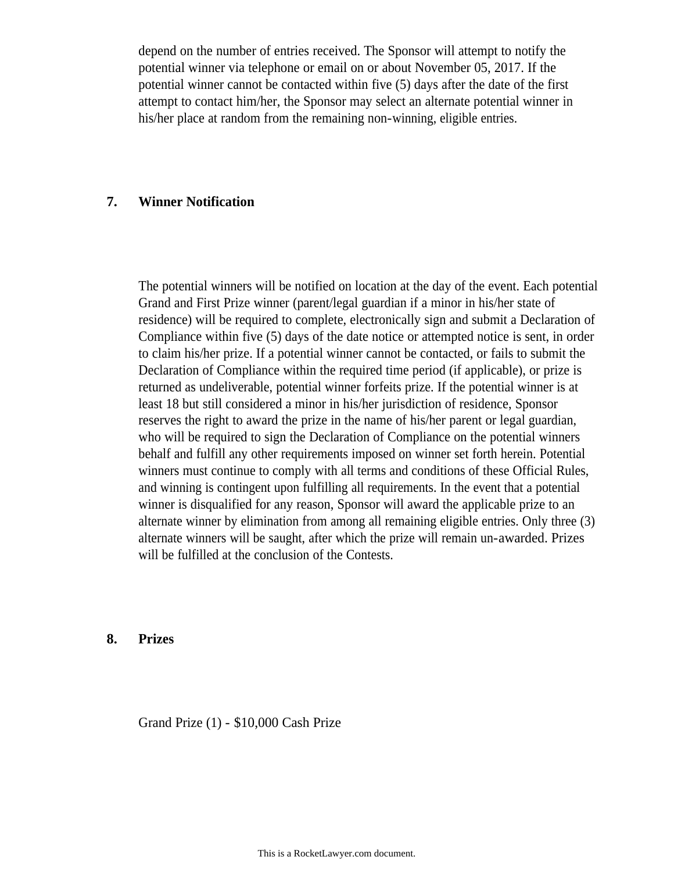depend on the number of entries received. The Sponsor will attempt to notify the potential winner via telephone or email on or about November 05, 2017. If the potential winner cannot be contacted within five (5) days after the date of the first attempt to contact him/her, the Sponsor may select an alternate potential winner in his/her place at random from the remaining non-winning, eligible entries.

## **7. Winner Notification**

The potential winners will be notified on location at the day of the event. Each potential Grand and First Prize winner (parent/legal guardian if a minor in his/her state of residence) will be required to complete, electronically sign and submit a Declaration of Compliance within five (5) days of the date notice or attempted notice is sent, in order to claim his/her prize. If a potential winner cannot be contacted, or fails to submit the Declaration of Compliance within the required time period (if applicable), or prize is returned as undeliverable, potential winner forfeits prize. If the potential winner is at least 18 but still considered a minor in his/her jurisdiction of residence, Sponsor reserves the right to award the prize in the name of his/her parent or legal guardian, who will be required to sign the Declaration of Compliance on the potential winners behalf and fulfill any other requirements imposed on winner set forth herein. Potential winners must continue to comply with all terms and conditions of these Official Rules, and winning is contingent upon fulfilling all requirements. In the event that a potential winner is disqualified for any reason, Sponsor will award the applicable prize to an alternate winner by elimination from among all remaining eligible entries. Only three (3) alternate winners will be saught, after which the prize will remain un-awarded. Prizes will be fulfilled at the conclusion of the Contests.

#### **8. Prizes**

Grand Prize (1) - \$10,000 Cash Prize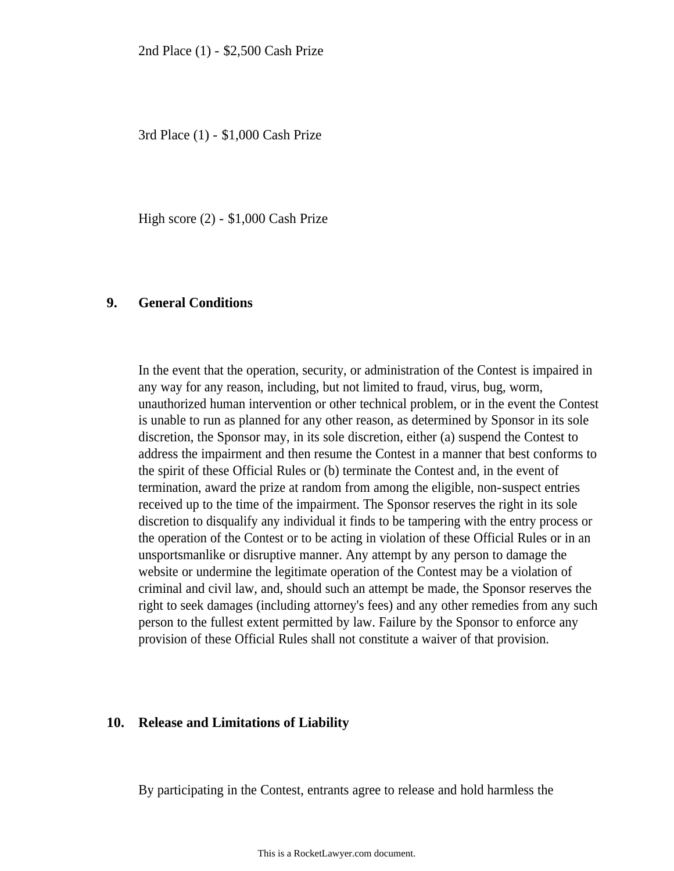3rd Place (1) - \$1,000 Cash Prize

High score (2) - \$1,000 Cash Prize

#### **9. General Conditions**

In the event that the operation, security, or administration of the Contest is impaired in any way for any reason, including, but not limited to fraud, virus, bug, worm, unauthorized human intervention or other technical problem, or in the event the Contest is unable to run as planned for any other reason, as determined by Sponsor in its sole discretion, the Sponsor may, in its sole discretion, either (a) suspend the Contest to address the impairment and then resume the Contest in a manner that best conforms to the spirit of these Official Rules or (b) terminate the Contest and, in the event of termination, award the prize at random from among the eligible, non-suspect entries received up to the time of the impairment. The Sponsor reserves the right in its sole discretion to disqualify any individual it finds to be tampering with the entry process or the operation of the Contest or to be acting in violation of these Official Rules or in an unsportsmanlike or disruptive manner. Any attempt by any person to damage the website or undermine the legitimate operation of the Contest may be a violation of criminal and civil law, and, should such an attempt be made, the Sponsor reserves the right to seek damages (including attorney's fees) and any other remedies from any such person to the fullest extent permitted by law. Failure by the Sponsor to enforce any provision of these Official Rules shall not constitute a waiver of that provision.

#### **10. Release and Limitations of Liability**

By participating in the Contest, entrants agree to release and hold harmless the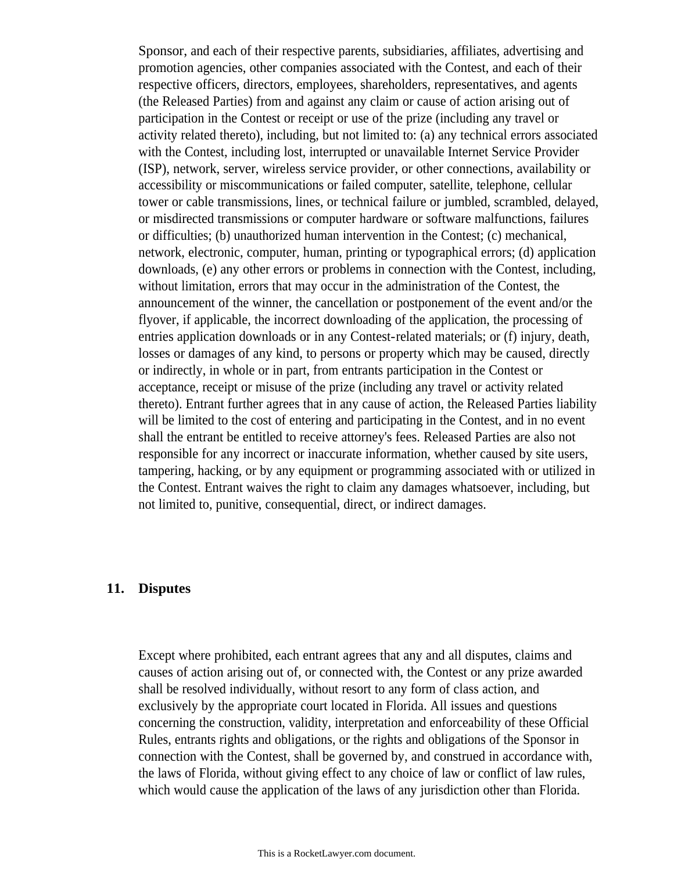Sponsor, and each of their respective parents, subsidiaries, affiliates, advertising and promotion agencies, other companies associated with the Contest, and each of their respective officers, directors, employees, shareholders, representatives, and agents (the Released Parties) from and against any claim or cause of action arising out of participation in the Contest or receipt or use of the prize (including any travel or activity related thereto), including, but not limited to: (a) any technical errors associated with the Contest, including lost, interrupted or unavailable Internet Service Provider (ISP), network, server, wireless service provider, or other connections, availability or accessibility or miscommunications or failed computer, satellite, telephone, cellular tower or cable transmissions, lines, or technical failure or jumbled, scrambled, delayed, or misdirected transmissions or computer hardware or software malfunctions, failures or difficulties; (b) unauthorized human intervention in the Contest; (c) mechanical, network, electronic, computer, human, printing or typographical errors; (d) application downloads, (e) any other errors or problems in connection with the Contest, including, without limitation, errors that may occur in the administration of the Contest, the announcement of the winner, the cancellation or postponement of the event and/or the flyover, if applicable, the incorrect downloading of the application, the processing of entries application downloads or in any Contest-related materials; or (f) injury, death, losses or damages of any kind, to persons or property which may be caused, directly or indirectly, in whole or in part, from entrants participation in the Contest or acceptance, receipt or misuse of the prize (including any travel or activity related thereto). Entrant further agrees that in any cause of action, the Released Parties liability will be limited to the cost of entering and participating in the Contest, and in no event shall the entrant be entitled to receive attorney's fees. Released Parties are also not responsible for any incorrect or inaccurate information, whether caused by site users, tampering, hacking, or by any equipment or programming associated with or utilized in the Contest. Entrant waives the right to claim any damages whatsoever, including, but not limited to, punitive, consequential, direct, or indirect damages.

#### **11. Disputes**

Except where prohibited, each entrant agrees that any and all disputes, claims and causes of action arising out of, or connected with, the Contest or any prize awarded shall be resolved individually, without resort to any form of class action, and exclusively by the appropriate court located in Florida. All issues and questions concerning the construction, validity, interpretation and enforceability of these Official Rules, entrants rights and obligations, or the rights and obligations of the Sponsor in connection with the Contest, shall be governed by, and construed in accordance with, the laws of Florida, without giving effect to any choice of law or conflict of law rules, which would cause the application of the laws of any jurisdiction other than Florida.